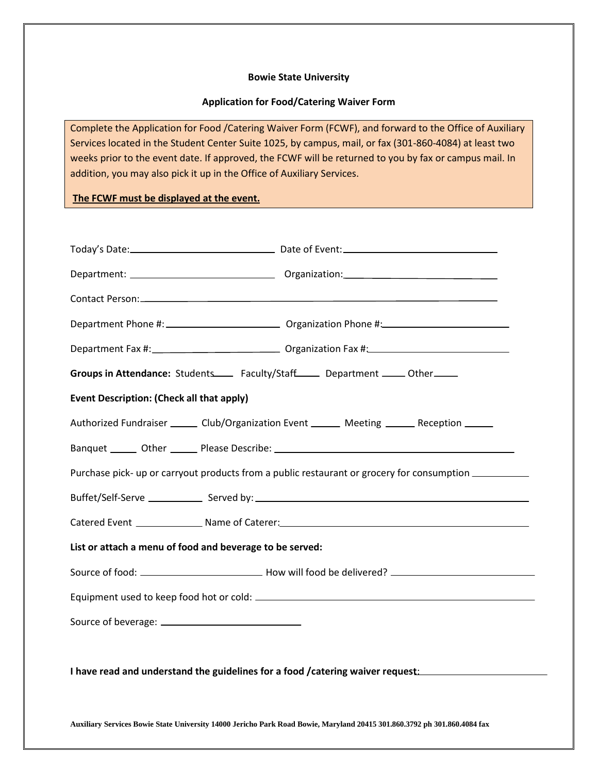## **Bowie State University**

## **Application for Food/Catering Waiver Form**

Complete the Application for Food /Catering Waiver Form (FCWF), and forward to the Office of Auxiliary Services located in the Student Center Suite 1025, by campus, mail, or fax (301-860-4084) at least two weeks prior to the event date. If approved, the FCWF will be returned to you by fax or campus mail. In addition, you may also pick it up in the Office of Auxiliary Services.

**The FCWF must be displayed at the event.**

| Groups in Attendance: Students______ Faculty/Staff______ Department ______ Other_____                |  |  |
|------------------------------------------------------------------------------------------------------|--|--|
| <b>Event Description: (Check all that apply)</b>                                                     |  |  |
| Authorized Fundraiser _______ Club/Organization Event _______ Meeting ______ Reception ______        |  |  |
|                                                                                                      |  |  |
| Purchase pick- up or carryout products from a public restaurant or grocery for consumption _________ |  |  |
|                                                                                                      |  |  |
|                                                                                                      |  |  |
| List or attach a menu of food and beverage to be served:                                             |  |  |
|                                                                                                      |  |  |
|                                                                                                      |  |  |
|                                                                                                      |  |  |
| I have read and understand the guidelines for a food /catering waiver request: _____________________ |  |  |

**Auxiliary Services Bowie State University 14000 Jericho Park Road Bowie, Maryland 20415 301.860.3792 ph 301.860.4084 fax**